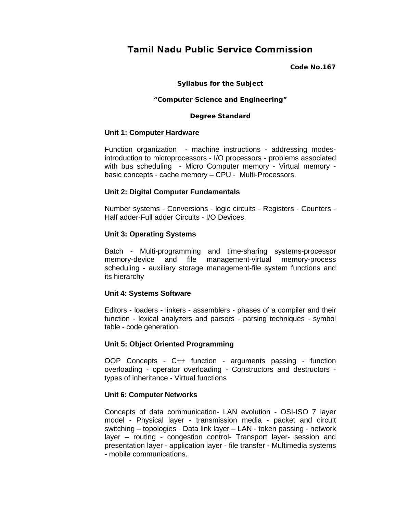# **Tamil Nadu Public Service Commission**

#### **Code No.167**

## **Syllabus for the Subject**

#### **"Computer Science and Engineering"**

#### **Degree Standard**

## **Unit 1: Computer Hardware**

Function organization - machine instructions - addressing modesintroduction to microprocessors - I/O processors - problems associated with bus scheduling - Micro Computer memory - Virtual memory basic concepts - cache memory – CPU - Multi-Processors.

## **Unit 2: Digital Computer Fundamentals**

Number systems - Conversions - logic circuits - Registers - Counters - Half adder-Full adder Circuits - I/O Devices.

## **Unit 3: Operating Systems**

Batch - Multi-programming and time-sharing systems-processor memory-device and file management-virtual memory-process scheduling - auxiliary storage management-file system functions and its hierarchy

## **Unit 4: Systems Software**

Editors - loaders - linkers - assemblers - phases of a compiler and their function - lexical analyzers and parsers - parsing techniques - symbol table - code generation.

## **Unit 5: Object Oriented Programming**

OOP Concepts - C++ function - arguments passing - function overloading - operator overloading - Constructors and destructors types of inheritance - Virtual functions

## **Unit 6: Computer Networks**

Concepts of data communication- LAN evolution - OSI-ISO 7 layer model - Physical layer - transmission media - packet and circuit switching – topologies - Data link layer – LAN - token passing - network layer – routing - congestion control- Transport layer- session and presentation layer - application layer - file transfer - Multimedia systems - mobile communications.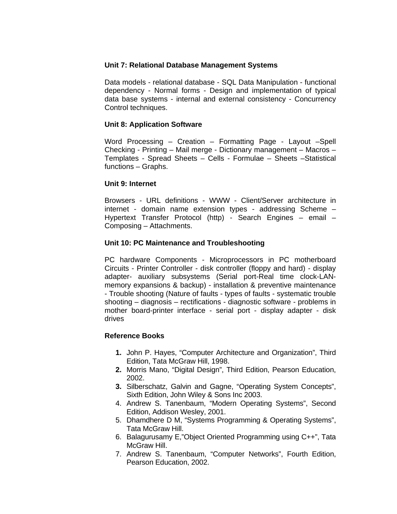# **Unit 7: Relational Database Management Systems**

Data models - relational database - SQL Data Manipulation - functional dependency - Normal forms - Design and implementation of typical data base systems - internal and external consistency - Concurrency Control techniques.

# **Unit 8: Application Software**

Word Processing – Creation – Formatting Page - Layout –Spell Checking - Printing – Mail merge - Dictionary management – Macros – Templates - Spread Sheets – Cells - Formulae – Sheets –Statistical functions – Graphs.

# **Unit 9: Internet**

Browsers - URL definitions - WWW - Client/Server architecture in internet - domain name extension types - addressing Scheme – Hypertext Transfer Protocol (http) - Search Engines – email – Composing – Attachments.

# **Unit 10: PC Maintenance and Troubleshooting**

PC hardware Components - Microprocessors in PC motherboard Circuits - Printer Controller - disk controller (floppy and hard) - display adapter- auxiliary subsystems (Serial port-Real time clock-LANmemory expansions & backup) - installation & preventive maintenance - Trouble shooting (Nature of faults - types of faults - systematic trouble shooting – diagnosis – rectifications - diagnostic software - problems in mother board-printer interface - serial port - display adapter - disk drives

## **Reference Books**

- **1.** John P. Hayes, "Computer Architecture and Organization", Third Edition, Tata McGraw Hill, 1998.
- **2.** Morris Mano, "Digital Design", Third Edition, Pearson Education, 2002.
- **3.** Silberschatz, Galvin and Gagne, "Operating System Concepts", Sixth Edition, John Wiley & Sons Inc 2003.
- 4. Andrew S. Tanenbaum, "Modern Operating Systems", Second Edition, Addison Wesley, 2001.
- 5. Dhamdhere D M, "Systems Programming & Operating Systems", Tata McGraw Hill.
- 6. Balagurusamy E,"Object Oriented Programming using C++", Tata McGraw Hill.
- 7. Andrew S. Tanenbaum, "Computer Networks", Fourth Edition, Pearson Education, 2002.